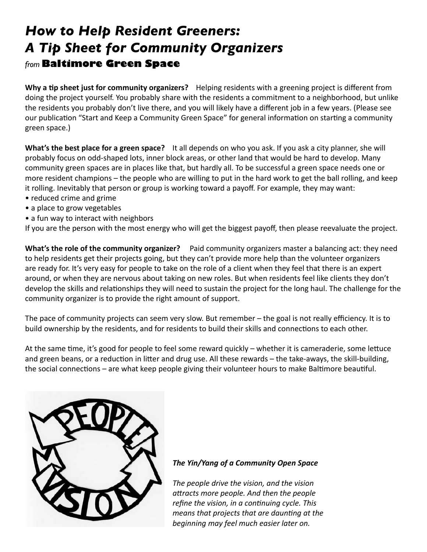# *How to Help Resident Greeners: A Tip Sheet for Community Organizers from* **Baltimore Green Space**

**Why a tip sheet just for community organizers?** Helping residents with a greening project is different from doing the project yourself. You probably share with the residents a commitment to a neighborhood, but unlike the residents you probably don't live there, and you will likely have a different job in a few years. (Please see our publication "Start and Keep a Community Green Space" for general information on starting a community green space.)

**What's the best place for a green space?** It all depends on who you ask. If you ask a city planner, she will probably focus on odd-shaped lots, inner block areas, or other land that would be hard to develop. Many community green spaces are in places like that, but hardly all. To be successful a green space needs one or more resident champions – the people who are willing to put in the hard work to get the ball rolling, and keep it rolling. Inevitably that person or group is working toward a payoff. For example, they may want:

- reduced crime and grime
- a place to grow vegetables
- a fun way to interact with neighbors

If you are the person with the most energy who will get the biggest payoff, then please reevaluate the project.

**What's the role of the community organizer?** Paid community organizers master a balancing act: they need to help residents get their projects going, but they can't provide more help than the volunteer organizers are ready for. It's very easy for people to take on the role of a client when they feel that there is an expert around, or when they are nervous about taking on new roles. But when residents feel like clients they don't develop the skills and relationships they will need to sustain the project for the long haul. The challenge for the community organizer is to provide the right amount of support.

The pace of community projects can seem very slow. But remember – the goal is not really efficiency. It is to build ownership by the residents, and for residents to build their skills and connections to each other.

At the same time, it's good for people to feel some reward quickly – whether it is cameraderie, some lettuce and green beans, or a reduction in litter and drug use. All these rewards – the take-aways, the skill-building, the social connections – are what keep people giving their volunteer hours to make Baltimore beautiful.



### *The Yin/Yang of a Community Open Space*

*The people drive the vision, and the vision attracts more people. And then the people refine the vision, in a continuing cycle. This means that projects that are daunting at the beginning may feel much easier later on.*